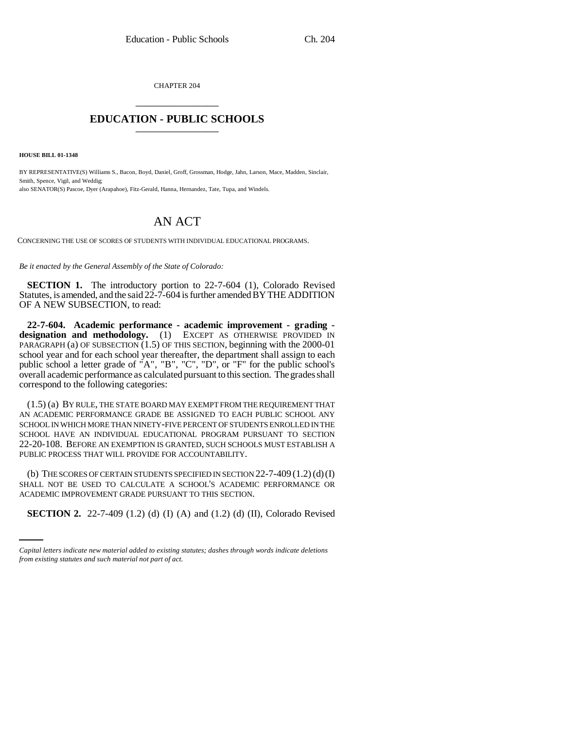CHAPTER 204 \_\_\_\_\_\_\_\_\_\_\_\_\_\_\_

## **EDUCATION - PUBLIC SCHOOLS** \_\_\_\_\_\_\_\_\_\_\_\_\_\_\_

**HOUSE BILL 01-1348**

BY REPRESENTATIVE(S) Williams S., Bacon, Boyd, Daniel, Groff, Grossman, Hodge, Jahn, Larson, Mace, Madden, Sinclair, Smith, Spence, Vigil, and Weddig; also SENATOR(S) Pascoe, Dyer (Arapahoe), Fitz-Gerald, Hanna, Hernandez, Tate, Tupa, and Windels.

## AN ACT

CONCERNING THE USE OF SCORES OF STUDENTS WITH INDIVIDUAL EDUCATIONAL PROGRAMS.

*Be it enacted by the General Assembly of the State of Colorado:*

**SECTION 1.** The introductory portion to 22-7-604 (1), Colorado Revised Statutes, is amended, and the said 22-7-604 is further amended BY THE ADDITION OF A NEW SUBSECTION, to read:

**22-7-604. Academic performance - academic improvement - grading designation and methodology.** (1) EXCEPT AS OTHERWISE PROVIDED IN PARAGRAPH (a) OF SUBSECTION  $(1.5)$  OF THIS SECTION, beginning with the 2000-01 school year and for each school year thereafter, the department shall assign to each public school a letter grade of "A", "B", "C", "D", or "F" for the public school's overall academic performance as calculated pursuant to this section. The grades shall correspond to the following categories:

(1.5) (a) BY RULE, THE STATE BOARD MAY EXEMPT FROM THE REQUIREMENT THAT AN ACADEMIC PERFORMANCE GRADE BE ASSIGNED TO EACH PUBLIC SCHOOL ANY SCHOOL IN WHICH MORE THAN NINETY-FIVE PERCENT OF STUDENTS ENROLLED IN THE SCHOOL HAVE AN INDIVIDUAL EDUCATIONAL PROGRAM PURSUANT TO SECTION 22-20-108. BEFORE AN EXEMPTION IS GRANTED, SUCH SCHOOLS MUST ESTABLISH A PUBLIC PROCESS THAT WILL PROVIDE FOR ACCOUNTABILITY.

ACADEMIC IMPROVEMENT GRADE PURSUANT TO THIS SECTION. (b) THE SCORES OF CERTAIN STUDENTS SPECIFIED IN SECTION  $22$ -7-409 (1.2)(d)(I) SHALL NOT BE USED TO CALCULATE A SCHOOL'S ACADEMIC PERFORMANCE OR

**SECTION 2.** 22-7-409 (1.2) (d) (I) (A) and (1.2) (d) (II), Colorado Revised

*Capital letters indicate new material added to existing statutes; dashes through words indicate deletions from existing statutes and such material not part of act.*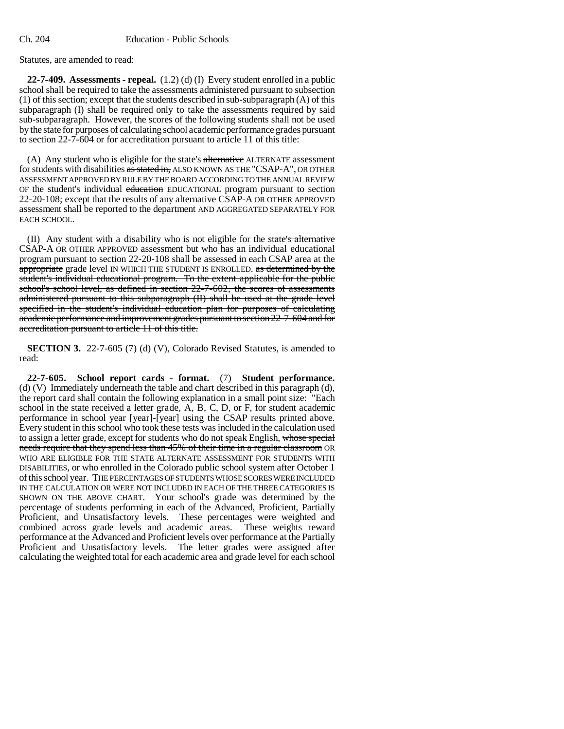Statutes, are amended to read:

**22-7-409. Assessments - repeal.** (1.2) (d) (I) Every student enrolled in a public school shall be required to take the assessments administered pursuant to subsection (1) of this section; except that the students described in sub-subparagraph (A) of this subparagraph (I) shall be required only to take the assessments required by said sub-subparagraph. However, the scores of the following students shall not be used by the state for purposes of calculating school academic performance grades pursuant to section 22-7-604 or for accreditation pursuant to article 11 of this title:

(A) Any student who is eligible for the state's alternative ALTERNATE assessment for students with disabilities as stated in, ALSO KNOWN AS THE "CSAP-A", OR OTHER ASSESSMENT APPROVED BY RULE BY THE BOARD ACCORDING TO THE ANNUAL REVIEW OF the student's individual education EDUCATIONAL program pursuant to section 22-20-108; except that the results of any alternative CSAP-A OR OTHER APPROVED assessment shall be reported to the department AND AGGREGATED SEPARATELY FOR EACH SCHOOL.

(II) Any student with a disability who is not eligible for the state's alternative CSAP-A OR OTHER APPROVED assessment but who has an individual educational program pursuant to section 22-20-108 shall be assessed in each CSAP area at the appropriate grade level IN WHICH THE STUDENT IS ENROLLED. as determined by the student's individual educational program. To the extent applicable for the public school's school level, as defined in section 22-7-602, the scores of assessments administered pursuant to this subparagraph (II) shall be used at the grade level specified in the student's individual education plan for purposes of calculating academic performance and improvement grades pursuant to section 22-7-604 and for accreditation pursuant to article 11 of this title.

**SECTION 3.** 22-7-605 (7) (d) (V), Colorado Revised Statutes, is amended to read:

**22-7-605. School report cards - format.** (7) **Student performance.** (d) (V) Immediately underneath the table and chart described in this paragraph (d), the report card shall contain the following explanation in a small point size: "Each school in the state received a letter grade, A, B, C, D, or F, for student academic performance in school year [year]-[year] using the CSAP results printed above. Every student in this school who took these tests was included in the calculation used to assign a letter grade, except for students who do not speak English, whose special needs require that they spend less than 45% of their time in a regular classroom OR WHO ARE ELIGIBLE FOR THE STATE ALTERNATE ASSESSMENT FOR STUDENTS WITH DISABILITIES, or who enrolled in the Colorado public school system after October 1 of this school year. THE PERCENTAGES OF STUDENTS WHOSE SCORES WERE INCLUDED IN THE CALCULATION OR WERE NOT INCLUDED IN EACH OF THE THREE CATEGORIES IS SHOWN ON THE ABOVE CHART. Your school's grade was determined by the percentage of students performing in each of the Advanced, Proficient, Partially Proficient, and Unsatisfactory levels. These percentages were weighted and combined across grade levels and academic areas. performance at the Advanced and Proficient levels over performance at the Partially Proficient and Unsatisfactory levels. The letter grades were assigned after calculating the weighted total for each academic area and grade level for each school